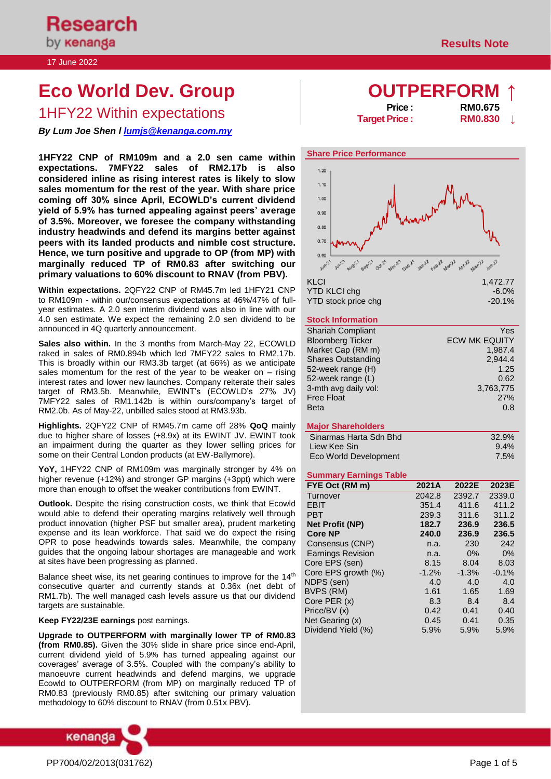# **Eco World Dev. Group** *A A* **<b>***A COUTPERFORM*

**1HFY22 Within expectations Price : RM0.675**<br>Target Price : **RM0.830** 

*By Lum Joe Shen l [lumjs@kenanga.com.my](mailto:lumjs@kenanga.com.my)*

**1HFY22 CNP of RM109m and a 2.0 sen came within expectations. 7MFY22 sales of RM2.17b is also considered inline as rising interest rates is likely to slow sales momentum for the rest of the year. With share price coming off 30% since April, ECOWLD's current dividend yield of 5.9% has turned appealing against peers' average of 3.5%. Moreover, we foresee the company withstanding industry headwinds and defend its margins better against peers with its landed products and nimble cost structure. Hence, we turn positive and upgrade to OP (from MP) with marginally reduced TP of RM0.83 after switching our primary valuations to 60% discount to RNAV (from PBV).** 

**Within expectations.** 2QFY22 CNP of RM45.7m led 1HFY21 CNP to RM109m - within our/consensus expectations at 46%/47% of fullyear estimates. A 2.0 sen interim dividend was also in line with our 4.0 sen estimate. We expect the remaining 2.0 sen dividend to be announced in 4Q quarterly announcement.

**Sales also within.** In the 3 months from March-May 22, ECOWLD raked in sales of RM0.894b which led 7MFY22 sales to RM2.17b. This is broadly within our RM3.3b target (at 66%) as we anticipate sales momentum for the rest of the year to be weaker on  $-$  rising interest rates and lower new launches. Company reiterate their sales target of RM3.5b. Meanwhile, EWINT's (ECOWLD's 27% JV) 7MFY22 sales of RM1.142b is within ours/company's target of RM2.0b. As of May-22, unbilled sales stood at RM3.93b.

**Highlights.** 2QFY22 CNP of RM45.7m came off 28% **QoQ** mainly due to higher share of losses (+8.9x) at its EWINT JV. EWINT took an impairment during the quarter as they lower selling prices for some on their Central London products (at EW-Ballymore).

**YoY,** 1HFY22 CNP of RM109m was marginally stronger by 4% on higher revenue (+12%) and stronger GP margins (+3ppt) which were more than enough to offset the weaker contributions from EWINT.

**Outlook.** Despite the rising construction costs, we think that Ecowld would able to defend their operating margins relatively well through product innovation (higher PSF but smaller area), prudent marketing expense and its lean workforce. That said we do expect the rising OPR to pose headwinds towards sales. Meanwhile, the company guides that the ongoing labour shortages are manageable and work at sites have been progressing as planned.

Balance sheet wise, its net gearing continues to improve for the  $14<sup>th</sup>$ consecutive quarter and currently stands at 0.36x (net debt of RM1.7b). The well managed cash levels assure us that our dividend targets are sustainable.

### **Keep FY22/23E earnings** post earnings.

**Upgrade to OUTPERFORM with marginally lower TP of RM0.83 (from RM0.85).** Given the 30% slide in share price since end-April, current dividend yield of 5.9% has turned appealing against our coverages' average of 3.5%. Coupled with the company's ability to manoeuvre current headwinds and defend margins, we upgrade Ecowld to OUTPERFORM (from MP) on marginally reduced TP of RM0.83 (previously RM0.85) after switching our primary valuation methodology to 60% discount to RNAV (from 0.51x PBV).



**Target Price :** 



### **Stock Information**

| <b>Shariah Compliant</b>  | Yes                  |
|---------------------------|----------------------|
| <b>Bloomberg Ticker</b>   | <b>ECW MK EQUITY</b> |
| Market Cap (RM m)         | 1,987.4              |
| <b>Shares Outstanding</b> | 2,944.4              |
| 52-week range (H)         | 1.25                 |
| 52-week range (L)         | 0.62                 |
| 3-mth avg daily vol:      | 3,763,775            |
| <b>Free Float</b>         | 27%                  |
| <b>Beta</b>               | 0.8                  |

### **Major Shareholders**

| Sinarmas Harta Sdn Bhd | 32.9%   |
|------------------------|---------|
| Liew Kee Sin           | $9.4\%$ |
| Eco World Development  | 7.5%    |

### **Summary Earnings Table**

| FYE Oct (RM m)           | 2021A   | 2022E   | 2023E   |
|--------------------------|---------|---------|---------|
| Turnover                 | 2042.8  | 2392.7  | 2339.0  |
| <b>EBIT</b>              | 351.4   | 411.6   | 411.2   |
| <b>PBT</b>               | 239.3   | 311.6   | 311.2   |
| <b>Net Profit (NP)</b>   | 182.7   | 236.9   | 236.5   |
| <b>Core NP</b>           | 240.0   | 236.9   | 236.5   |
| Consensus (CNP)          | n.a.    | 230     | 242     |
| <b>Earnings Revision</b> | n.a.    | 0%      | $0\%$   |
| Core EPS (sen)           | 8.15    | 8.04    | 8.03    |
| Core EPS growth (%)      | $-1.2%$ | $-1.3%$ | $-0.1%$ |
| NDPS (sen)               | 4.0     | 4.0     | 4.0     |
| BVPS (RM)                | 1.61    | 1.65    | 1.69    |
| Core PER (x)             | 8.3     | 8.4     | 8.4     |
| Price/BV (x)             | 0.42    | 0.41    | 0.40    |
| Net Gearing (x)          | 0.45    | 0.41    | 0.35    |
| Dividend Yield (%)       | 5.9%    | 5.9%    | 5.9%    |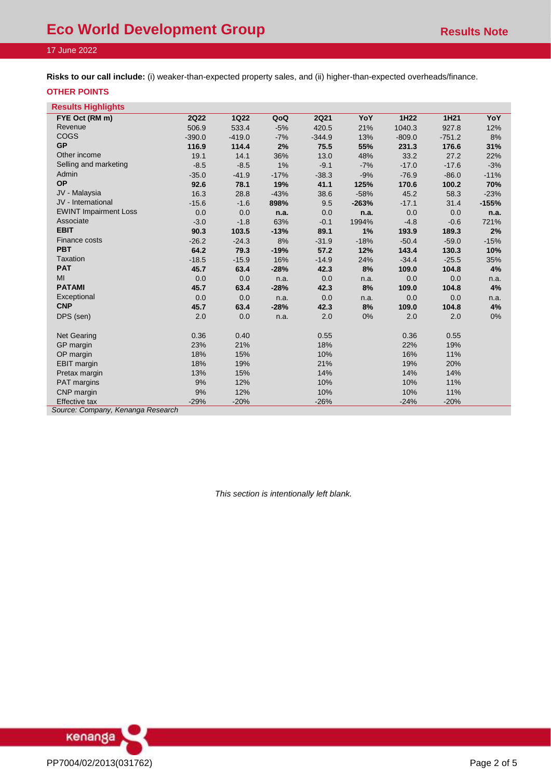**Risks to our call include:** (i) weaker-than-expected property sales, and (ii) higher-than-expected overheads/finance.

### **OTHER POINTS**

| <b>Results Highlights</b>         |             |             |        |             |         |          |          |         |
|-----------------------------------|-------------|-------------|--------|-------------|---------|----------|----------|---------|
| FYE Oct (RM m)                    | <b>2Q22</b> | <b>1Q22</b> | QoQ    | <b>2Q21</b> | YoY     | 1H22     | 1H21     | YoY     |
| Revenue                           | 506.9       | 533.4       | $-5%$  | 420.5       | 21%     | 1040.3   | 927.8    | 12%     |
| COGS                              | $-390.0$    | $-419.0$    | $-7%$  | $-344.9$    | 13%     | $-809.0$ | $-751.2$ | 8%      |
| <b>GP</b>                         | 116.9       | 114.4       | 2%     | 75.5        | 55%     | 231.3    | 176.6    | 31%     |
| Other income                      | 19.1        | 14.1        | 36%    | 13.0        | 48%     | 33.2     | 27.2     | 22%     |
| Selling and marketing             | $-8.5$      | $-8.5$      | 1%     | $-9.1$      | $-7%$   | $-17.0$  | $-17.6$  | $-3%$   |
| Admin                             | $-35.0$     | $-41.9$     | $-17%$ | $-38.3$     | $-9%$   | $-76.9$  | $-86.0$  | $-11%$  |
| <b>OP</b>                         | 92.6        | 78.1        | 19%    | 41.1        | 125%    | 170.6    | 100.2    | 70%     |
| JV - Malaysia                     | 16.3        | 28.8        | $-43%$ | 38.6        | $-58%$  | 45.2     | 58.3     | $-23%$  |
| JV - International                | $-15.6$     | $-1.6$      | 898%   | 9.5         | $-263%$ | $-17.1$  | 31.4     | $-155%$ |
| <b>EWINT Impairment Loss</b>      | 0.0         | 0.0         | n.a.   | 0.0         | n.a.    | 0.0      | 0.0      | n.a.    |
| Associate                         | $-3.0$      | $-1.8$      | 63%    | $-0.1$      | 1994%   | $-4.8$   | $-0.6$   | 721%    |
| <b>EBIT</b>                       | 90.3        | 103.5       | $-13%$ | 89.1        | 1%      | 193.9    | 189.3    | 2%      |
| Finance costs                     | $-26.2$     | $-24.3$     | 8%     | $-31.9$     | $-18%$  | $-50.4$  | $-59.0$  | $-15%$  |
| <b>PBT</b>                        | 64.2        | 79.3        | $-19%$ | 57.2        | 12%     | 143.4    | 130.3    | 10%     |
| <b>Taxation</b>                   | $-18.5$     | $-15.9$     | 16%    | $-14.9$     | 24%     | $-34.4$  | $-25.5$  | 35%     |
| <b>PAT</b>                        | 45.7        | 63.4        | $-28%$ | 42.3        | 8%      | 109.0    | 104.8    | 4%      |
| MI                                | 0.0         | 0.0         | n.a.   | 0.0         | n.a.    | 0.0      | 0.0      | n.a.    |
| <b>PATAMI</b>                     | 45.7        | 63.4        | $-28%$ | 42.3        | 8%      | 109.0    | 104.8    | 4%      |
| Exceptional                       | 0.0         | 0.0         | n.a.   | 0.0         | n.a.    | 0.0      | 0.0      | n.a.    |
| <b>CNP</b>                        | 45.7        | 63.4        | $-28%$ | 42.3        | 8%      | 109.0    | 104.8    | 4%      |
| DPS (sen)                         | 2.0         | 0.0         | n.a.   | 2.0         | 0%      | 2.0      | 2.0      | 0%      |
| <b>Net Gearing</b>                | 0.36        | 0.40        |        | 0.55        |         | 0.36     | 0.55     |         |
| GP margin                         | 23%         | 21%         |        | 18%         |         | 22%      | 19%      |         |
| OP margin                         | 18%         | 15%         |        | 10%         |         | 16%      | 11%      |         |
| <b>EBIT</b> margin                | 18%         | 19%         |        | 21%         |         | 19%      | 20%      |         |
| Pretax margin                     | 13%         | 15%         |        | 14%         |         | 14%      | 14%      |         |
| <b>PAT</b> margins                | 9%          | 12%         |        | 10%         |         | 10%      | 11%      |         |
| CNP margin                        | 9%          | 12%         |        | 10%         |         | 10%      | 11%      |         |
| <b>Effective tax</b>              | $-29%$      | $-20%$      |        | $-26%$      |         | $-24%$   | $-20%$   |         |
| Source: Company, Kenanga Research |             |             |        |             |         |          |          |         |

*This section is intentionally left blank.*

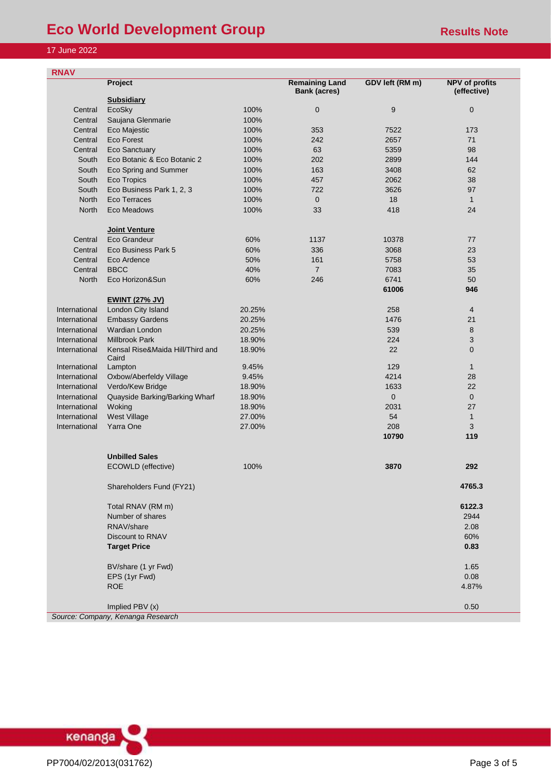## **Eco World Development Group**<br> **Eco World Development Group**

### 17 June 2022

| <b>RNAV</b>   |                                           |        |                                              |                 |                                      |
|---------------|-------------------------------------------|--------|----------------------------------------------|-----------------|--------------------------------------|
|               | Project                                   |        | <b>Remaining Land</b><br><b>Bank (acres)</b> | GDV left (RM m) | <b>NPV</b> of profits<br>(effective) |
|               | <b>Subsidiary</b>                         |        |                                              |                 |                                      |
| Central       | EcoSky                                    | 100%   | $\mathbf 0$                                  | 9               | $\mathbf{0}$                         |
| Central       | Saujana Glenmarie                         | 100%   |                                              |                 |                                      |
| Central       | Eco Majestic                              | 100%   | 353                                          | 7522            | 173                                  |
| Central       | <b>Eco Forest</b>                         | 100%   | 242                                          | 2657            | 71                                   |
| Central       | <b>Eco Sanctuary</b>                      | 100%   | 63                                           | 5359            | 98                                   |
| South         | Eco Botanic & Eco Botanic 2               | 100%   | 202                                          | 2899            | 144                                  |
| South         | Eco Spring and Summer                     | 100%   | 163                                          | 3408            | 62                                   |
| South         | Eco Tropics                               | 100%   | 457                                          | 2062            | 38                                   |
| South         | Eco Business Park 1, 2, 3                 | 100%   | 722                                          | 3626            | 97                                   |
| <b>North</b>  | Eco Terraces                              | 100%   | $\mathbf 0$                                  | 18              | $\mathbf{1}$                         |
| North         | Eco Meadows                               | 100%   | 33                                           | 418             | 24                                   |
|               | <b>Joint Venture</b>                      |        |                                              |                 |                                      |
| Central       | Eco Grandeur                              | 60%    | 1137                                         | 10378           | 77                                   |
| Central       | Eco Business Park 5                       | 60%    | 336                                          | 3068            | 23                                   |
| Central       | Eco Ardence                               | 50%    | 161                                          | 5758            | 53                                   |
| Central       | <b>BBCC</b>                               | 40%    | $\overline{7}$                               | 7083            | 35                                   |
| North         | Eco Horizon&Sun                           | 60%    | 246                                          | 6741            | 50                                   |
|               |                                           |        |                                              | 61006           | 946                                  |
|               | <b>EWINT (27% JV)</b>                     |        |                                              |                 |                                      |
| International | London City Island                        | 20.25% |                                              | 258             | $\overline{4}$                       |
| International | <b>Embassy Gardens</b>                    | 20.25% |                                              | 1476            | 21                                   |
| International | Wardian London                            | 20.25% |                                              | 539             | 8                                    |
| International | <b>Millbrook Park</b>                     | 18.90% |                                              | 224             | $\sqrt{3}$                           |
| International | Kensal Rise&Maida Hill/Third and<br>Caird | 18.90% |                                              | 22              | $\mathbf{0}$                         |
| International | Lampton                                   | 9.45%  |                                              | 129             | $\mathbf{1}$                         |
| International | Oxbow/Aberfeldy Village                   | 9.45%  |                                              | 4214            | 28                                   |
| International | Verdo/Kew Bridge                          | 18.90% |                                              | 1633            | 22                                   |
| International | Quayside Barking/Barking Wharf            | 18.90% |                                              | $\mathbf{0}$    | $\overline{0}$                       |
| International | Woking                                    | 18.90% |                                              | 2031            | 27                                   |
| International | West Village                              | 27.00% |                                              | 54              | $\mathbf{1}$                         |
| International | Yarra One                                 | 27.00% |                                              | 208             | 3                                    |
|               |                                           |        |                                              | 10790           | 119                                  |
|               | <b>Unbilled Sales</b>                     |        |                                              |                 |                                      |
|               | ECOWLD (effective)                        | 100%   |                                              | 3870            | 292                                  |
|               | Shareholders Fund (FY21)                  |        |                                              |                 | 4765.3                               |
|               | Total RNAV (RM m)                         |        |                                              |                 | 6122.3                               |
|               | Number of shares                          |        |                                              |                 | 2944                                 |
|               | RNAV/share                                |        |                                              |                 | 2.08                                 |
|               | Discount to RNAV                          |        |                                              |                 | 60%                                  |
|               | <b>Target Price</b>                       |        |                                              |                 | 0.83                                 |
|               | BV/share (1 yr Fwd)                       |        |                                              |                 | 1.65                                 |
|               | EPS (1yr Fwd)                             |        |                                              |                 | 0.08                                 |
|               | <b>ROE</b>                                |        |                                              |                 | 4.87%                                |
|               | Implied PBV (x)                           |        |                                              |                 | 0.50                                 |
|               | Source: Company, Kenanga Research         |        |                                              |                 |                                      |

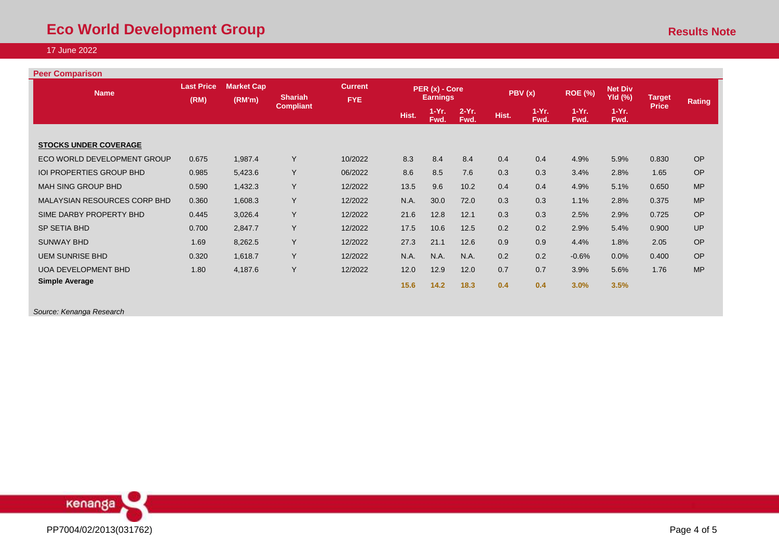### **Peer Comparison**

| <b>Name</b>                     | <b>Last Price</b><br>(RM) | <b>Market Cap</b><br>(RM'm) | <b>Shariah</b>   | <b>Current</b><br>FYE. |       | PER (x) - Core<br><b>Earnings</b> |                 |       | PBV(x)          | <b>ROE (%)</b>  | <b>Net Div</b><br><b>Yld (%)</b> | <b>Target</b> | <b>Rating</b> |
|---------------------------------|---------------------------|-----------------------------|------------------|------------------------|-------|-----------------------------------|-----------------|-------|-----------------|-----------------|----------------------------------|---------------|---------------|
|                                 |                           |                             | <b>Compliant</b> |                        | Hist. | $1-Yr.$<br>Fwd.                   | $2-Yr.$<br>Fwd. | Hist. | $1-Yr.$<br>Fwd. | $1-Yr.$<br>Fwd. | $1-Yr.$<br>Fwd.                  | <b>Price</b>  |               |
|                                 |                           |                             |                  |                        |       |                                   |                 |       |                 |                 |                                  |               |               |
| <b>STOCKS UNDER COVERAGE</b>    |                           |                             |                  |                        |       |                                   |                 |       |                 |                 |                                  |               |               |
| ECO WORLD DEVELOPMENT GROUP     | 0.675                     | 1,987.4                     | Y                | 10/2022                | 8.3   | 8.4                               | 8.4             | 0.4   | 0.4             | 4.9%            | 5.9%                             | 0.830         | <b>OP</b>     |
| <b>IOI PROPERTIES GROUP BHD</b> | 0.985                     | 5,423.6                     | Y                | 06/2022                | 8.6   | 8.5                               | 7.6             | 0.3   | 0.3             | 3.4%            | 2.8%                             | 1.65          | <b>OP</b>     |
| MAH SING GROUP BHD              | 0.590                     | 1,432.3                     | Y                | 12/2022                | 13.5  | 9.6                               | 10.2            | 0.4   | 0.4             | 4.9%            | 5.1%                             | 0.650         | <b>MP</b>     |
| MALAYSIAN RESOURCES CORP BHD    | 0.360                     | 1,608.3                     | Y                | 12/2022                | N.A.  | 30.0                              | 72.0            | 0.3   | 0.3             | 1.1%            | 2.8%                             | 0.375         | <b>MP</b>     |
| SIME DARBY PROPERTY BHD         | 0.445                     | 3,026.4                     | Y                | 12/2022                | 21.6  | 12.8                              | 12.1            | 0.3   | 0.3             | 2.5%            | 2.9%                             | 0.725         | <b>OP</b>     |
| SP SETIA BHD                    | 0.700                     | 2,847.7                     | Y                | 12/2022                | 17.5  | 10.6                              | 12.5            | 0.2   | 0.2             | 2.9%            | 5.4%                             | 0.900         | <b>UP</b>     |
| <b>SUNWAY BHD</b>               | 1.69                      | 8,262.5                     | Y                | 12/2022                | 27.3  | 21.1                              | 12.6            | 0.9   | 0.9             | 4.4%            | 1.8%                             | 2.05          | OP            |
| <b>UEM SUNRISE BHD</b>          | 0.320                     | 1,618.7                     | Y                | 12/2022                | N.A.  | N.A.                              | N.A.            | 0.2   | 0.2             | $-0.6%$         | 0.0%                             | 0.400         | <b>OP</b>     |
| <b>UOA DEVELOPMENT BHD</b>      | 1.80                      | 4,187.6                     | Y                | 12/2022                | 12.0  | 12.9                              | 12.0            | 0.7   | 0.7             | 3.9%            | 5.6%                             | 1.76          | <b>MP</b>     |
| <b>Simple Average</b>           |                           |                             |                  |                        | 15.6  | $14.2$                            | 18.3            | 0.4   | 0.4             | 3.0%            | 3.5%                             |               |               |
|                                 |                           |                             |                  |                        |       |                                   |                 |       |                 |                 |                                  |               |               |

*Source: Kenanga Research*